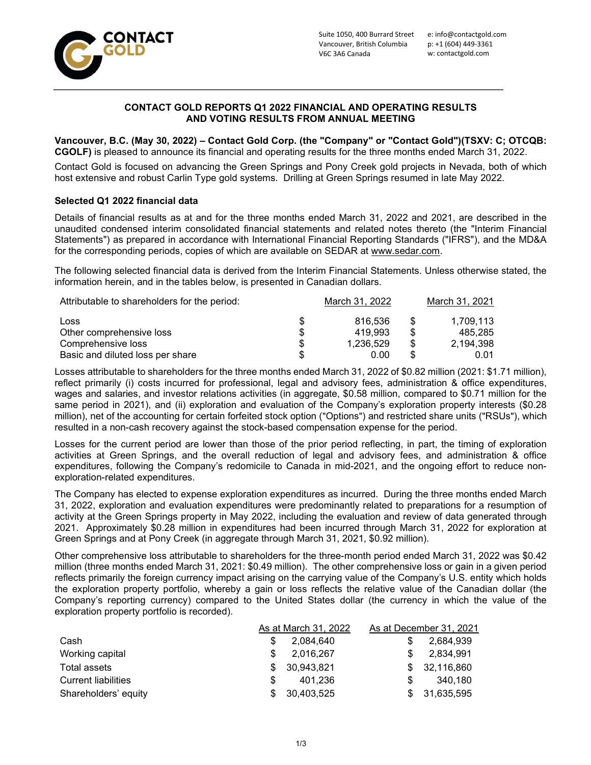

# CONTACT GOLD REPORTS Q1 2022 FINANCIAL AND OPERATING RESULTS AND VOTING RESULTS FROM ANNUAL MEETING

Vancouver, B.C. (May 30, 2022) – Contact Gold Corp. (the "Company" or "Contact Gold")(TSXV: C; OTCQB: CGOLF) is pleased to announce its financial and operating results for the three months ended March 31, 2022.

Contact Gold is focused on advancing the Green Springs and Pony Creek gold projects in Nevada, both of which host extensive and robust Carlin Type gold systems. Drilling at Green Springs resumed in late May 2022.

# Selected Q1 2022 financial data

Details of financial results as at and for the three months ended March 31, 2022 and 2021, are described in the unaudited condensed interim consolidated financial statements and related notes thereto (the "Interim Financial Statements") as prepared in accordance with International Financial Reporting Standards ("IFRS"), and the MD&A for the corresponding periods, copies of which are available on SEDAR at www.sedar.com.

The following selected financial data is derived from the Interim Financial Statements. Unless otherwise stated, the information herein, and in the tables below, is presented in Canadian dollars.

| Attributable to shareholders for the period: | March 31, 2022 | March 31, 2021 |
|----------------------------------------------|----------------|----------------|
| Loss                                         | 816.536        | 1.709.113      |
| Other comprehensive loss                     | 419.993        | 485.285        |
| Comprehensive loss                           | 1.236.529      | 2.194.398      |
| Basic and diluted loss per share             | 0.00           | 0.01           |

Losses attributable to shareholders for the three months ended March 31, 2022 of \$0.82 million (2021: \$1.71 million), reflect primarily (i) costs incurred for professional, legal and advisory fees, administration & office expenditures, wages and salaries, and investor relations activities (in aggregate, \$0.58 million, compared to \$0.71 million for the same period in 2021), and (ii) exploration and evaluation of the Company's exploration property interests (\$0.28 million), net of the accounting for certain forfeited stock option ("Options") and restricted share units ("RSUs"), which resulted in a non-cash recovery against the stock-based compensation expense for the period.

Losses for the current period are lower than those of the prior period reflecting, in part, the timing of exploration activities at Green Springs, and the overall reduction of legal and advisory fees, and administration & office expenditures, following the Company's redomicile to Canada in mid-2021, and the ongoing effort to reduce nonexploration-related expenditures.

The Company has elected to expense exploration expenditures as incurred. During the three months ended March 31, 2022, exploration and evaluation expenditures were predominantly related to preparations for a resumption of activity at the Green Springs property in May 2022, including the evaluation and review of data generated through 2021. Approximately \$0.28 million in expenditures had been incurred through March 31, 2022 for exploration at Green Springs and at Pony Creek (in aggregate through March 31, 2021, \$0.92 million).

Other comprehensive loss attributable to shareholders for the three-month period ended March 31, 2022 was \$0.42 million (three months ended March 31, 2021: \$0.49 million). The other comprehensive loss or gain in a given period reflects primarily the foreign currency impact arising on the carrying value of the Company's U.S. entity which holds the exploration property portfolio, whereby a gain or loss reflects the relative value of the Canadian dollar (the Company's reporting currency) compared to the United States dollar (the currency in which the value of the exploration property portfolio is recorded).

|                            | As at March 31, 2022 |            | As at December 31, 2021 |            |  |
|----------------------------|----------------------|------------|-------------------------|------------|--|
| Cash                       |                      | 2,084,640  |                         | 2.684.939  |  |
| Working capital            |                      | 2,016,267  |                         | 2.834.991  |  |
| Total assets               | \$.                  | 30,943,821 | S.                      | 32,116,860 |  |
| <b>Current liabilities</b> |                      | 401.236    | \$.                     | 340.180    |  |
| Shareholders' equity       | \$.                  | 30,403,525 |                         | 31,635,595 |  |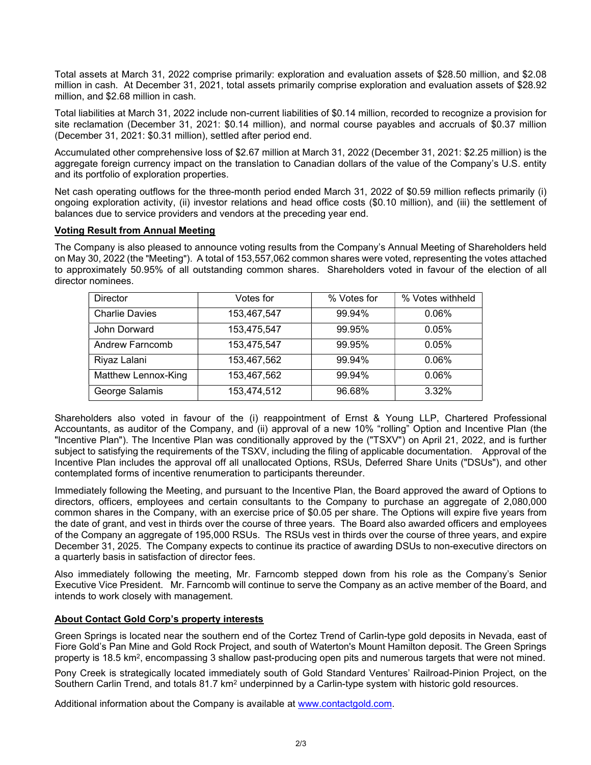Total assets at March 31, 2022 comprise primarily: exploration and evaluation assets of \$28.50 million, and \$2.08 million in cash. At December 31, 2021, total assets primarily comprise exploration and evaluation assets of \$28.92 million, and \$2.68 million in cash.

Total liabilities at March 31, 2022 include non-current liabilities of \$0.14 million, recorded to recognize a provision for site reclamation (December 31, 2021: \$0.14 million), and normal course payables and accruals of \$0.37 million (December 31, 2021: \$0.31 million), settled after period end.

Accumulated other comprehensive loss of \$2.67 million at March 31, 2022 (December 31, 2021: \$2.25 million) is the aggregate foreign currency impact on the translation to Canadian dollars of the value of the Company's U.S. entity and its portfolio of exploration properties.

Net cash operating outflows for the three-month period ended March 31, 2022 of \$0.59 million reflects primarily (i) ongoing exploration activity, (ii) investor relations and head office costs (\$0.10 million), and (iii) the settlement of balances due to service providers and vendors at the preceding year end.

# Voting Result from Annual Meeting

The Company is also pleased to announce voting results from the Company's Annual Meeting of Shareholders held on May 30, 2022 (the "Meeting"). A total of 153,557,062 common shares were voted, representing the votes attached to approximately 50.95% of all outstanding common shares. Shareholders voted in favour of the election of all director nominees.

| <b>Director</b>       | Votes for   | % Votes for | % Votes withheld |
|-----------------------|-------------|-------------|------------------|
| <b>Charlie Davies</b> | 153,467,547 | 99.94%      | 0.06%            |
| John Dorward          | 153,475,547 | 99.95%      | 0.05%            |
| Andrew Farncomb       | 153,475,547 | 99.95%      | 0.05%            |
| Riyaz Lalani          | 153,467,562 | 99.94%      | 0.06%            |
| Matthew Lennox-King   | 153,467,562 | 99.94%      | 0.06%            |
| George Salamis        | 153,474,512 | 96.68%      | 3.32%            |

Shareholders also voted in favour of the (i) reappointment of Ernst & Young LLP, Chartered Professional Accountants, as auditor of the Company, and (ii) approval of a new 10% "rolling" Option and Incentive Plan (the "Incentive Plan"). The Incentive Plan was conditionally approved by the ("TSXV") on April 21, 2022, and is further subject to satisfying the requirements of the TSXV, including the filing of applicable documentation. Approval of the Incentive Plan includes the approval off all unallocated Options, RSUs, Deferred Share Units ("DSUs"), and other contemplated forms of incentive renumeration to participants thereunder.

Immediately following the Meeting, and pursuant to the Incentive Plan, the Board approved the award of Options to directors, officers, employees and certain consultants to the Company to purchase an aggregate of 2,080,000 common shares in the Company, with an exercise price of \$0.05 per share. The Options will expire five years from the date of grant, and vest in thirds over the course of three years. The Board also awarded officers and employees of the Company an aggregate of 195,000 RSUs. The RSUs vest in thirds over the course of three years, and expire December 31, 2025. The Company expects to continue its practice of awarding DSUs to non-executive directors on a quarterly basis in satisfaction of director fees.

Also immediately following the meeting, Mr. Farncomb stepped down from his role as the Company's Senior Executive Vice President. Mr. Farncomb will continue to serve the Company as an active member of the Board, and intends to work closely with management.

# About Contact Gold Corp's property interests

Green Springs is located near the southern end of the Cortez Trend of Carlin-type gold deposits in Nevada, east of Fiore Gold's Pan Mine and Gold Rock Project, and south of Waterton's Mount Hamilton deposit. The Green Springs property is 18.5 km<sup>2</sup>, encompassing 3 shallow past-producing open pits and numerous targets that were not mined.

Pony Creek is strategically located immediately south of Gold Standard Ventures' Railroad-Pinion Project, on the Southern Carlin Trend, and totals 81.7 km<sup>2</sup> underpinned by a Carlin-type system with historic gold resources.

Additional information about the Company is available at www.contactgold.com.